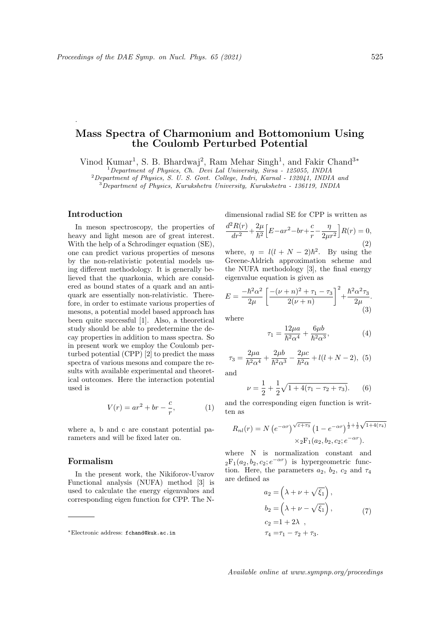# Mass Spectra of Charmonium and Bottomonium Using the Coulomb Perturbed Potential

Vinod Kumar<sup>1</sup>, S. B. Bhardwaj<sup>2</sup>, Ram Mehar Singh<sup>1</sup>, and Fakir Chand<sup>3\*</sup>

<sup>1</sup>Department of Physics, Ch. Devi Lal University, Sirsa - 125055, INDIA

 ${}^{2}$ Department of Physics, S. U. S. Govt. College, Indri, Karnal - 132041, INDIA and

 $3D$ epartment of Physics, Kurukshetra University, Kurukshetra - 136119, INDIA

### Introduction

.

In meson spectroscopy, the properties of heavy and light meson are of great interest. With the help of a Schrodinger equation (SE), one can predict various properties of mesons by the non-relativistic potential models using different methodology. It is generally believed that the quarkonia, which are considered as bound states of a quark and an antiquark are essentially non-relativistic. Therefore, in order to estimate various properties of mesons, a potential model based approach has been quite successful [1]. Also, a theoretical study should be able to predetermine the decay properties in addition to mass spectra. So in present work we employ the Coulomb perturbed potential (CPP) [2] to predict the mass spectra of various mesons and compare the results with available experimental and theoretical outcomes. Here the interaction potential used is

$$
V(r) = ar^2 + br - \frac{c}{r},\tag{1}
$$

where a, b and c are constant potential parameters and will be fixed later on.

#### Formalism

In the present work, the Nikiforov-Uvarov Functional analysis (NUFA) method [3] is used to calculate the energy eigenvalues and corresponding eigen function for CPP. The N-

dimensional radial SE for CPP is written as

$$
\frac{d^2R(r)}{dr^2} + \frac{2\mu}{\hbar^2} \Big[ E - ar^2 - br + \frac{c}{r} - \frac{\eta}{2\mu r^2} \Big] R(r) = 0,
$$
\n(2)

where,  $\eta = l(l + N - 2)\hbar^2$ . By using the Greene-Aldrich approximation scheme and the NUFA methodology [3], the final energy eigenvalue equation is given as

$$
E = \frac{-\hbar^2 \alpha^2}{2\mu} \left[ \frac{-(\nu + n)^2 + \tau_1 - \tau_3}{2(\nu + n)} \right]^2 + \frac{\hbar^2 \alpha^2 \tau_3}{2\mu}.
$$
\n(3)

where

$$
\tau_1 = \frac{12\mu a}{\hbar^2 \alpha^4} + \frac{6\mu b}{\hbar^2 \alpha^3},\tag{4}
$$

$$
\tau_3 = \frac{2\mu a}{\hbar^2 \alpha^4} + \frac{2\mu b}{\hbar^2 \alpha^3} - \frac{2\mu c}{\hbar^2 \alpha} + l(l+N-2), \tag{5}
$$

and

$$
\nu = \frac{1}{2} + \frac{1}{2}\sqrt{1 + 4(\tau_1 - \tau_2 + \tau_3)}.
$$
 (6)

and the corresponding eigen function is written as

$$
R_{nl}(r) = N (e^{-\alpha r})^{\sqrt{\varepsilon + \tau_3}} (1 - e^{-\alpha r})^{\frac{1}{2} + \frac{1}{2}\sqrt{1 + 4(\tau_4)}}
$$
  
 
$$
\times_2 F_1(a_2, b_2, c_2; e^{-\alpha r}).
$$

where N is normalization constant and  ${}_2F_1(a_2, b_2, c_2; e^{-\alpha r})$  is hypergeometric function. Here, the parameters  $a_2$ ,  $b_2$ ,  $c_2$  and  $\tau_4$ are defined as

$$
a_2 = \left(\lambda + \nu + \sqrt{\xi_1}\right),
$$
  
\n
$$
b_2 = \left(\lambda + \nu - \sqrt{\xi_1}\right),
$$
  
\n
$$
c_2 = 1 + 2\lambda,
$$
  
\n
$$
\tau_4 = \tau_1 - \tau_2 + \tau_3.
$$
\n(7)

<sup>∗</sup>Electronic address: fchand@kuk.ac.in